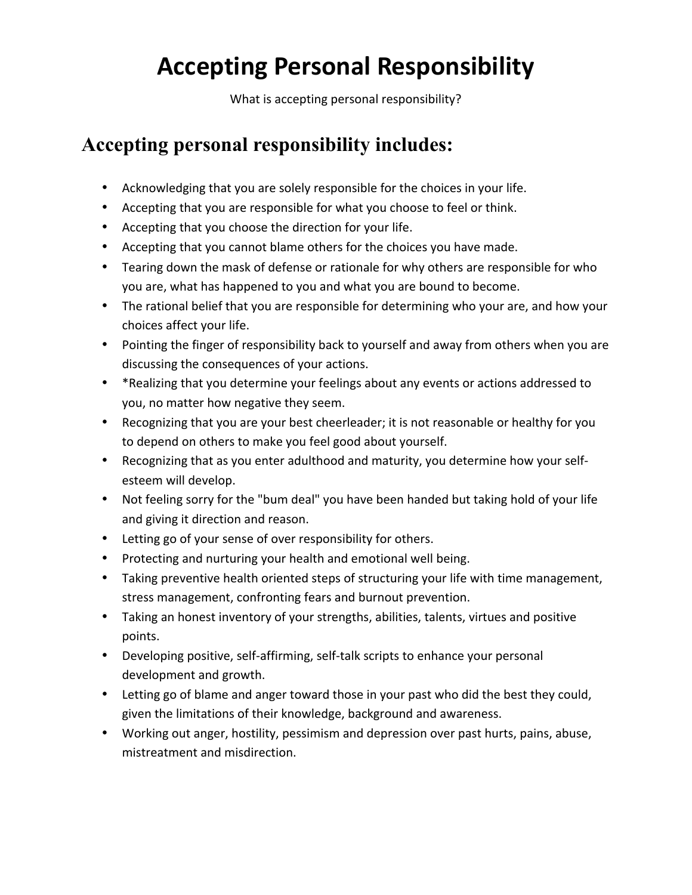# **Accepting Personal Responsibility**

What is accepting personal responsibility?

## **Accepting personal responsibility includes:**

- Acknowledging that you are solely responsible for the choices in your life.
- Accepting that you are responsible for what you choose to feel or think.
- Accepting that you choose the direction for your life.
- Accepting that you cannot blame others for the choices you have made.
- Tearing down the mask of defense or rationale for why others are responsible for who you are, what has happened to you and what you are bound to become.
- The rational belief that you are responsible for determining who your are, and how your choices affect your life.
- Pointing the finger of responsibility back to yourself and away from others when you are discussing the consequences of your actions.
- \* Realizing that you determine your feelings about any events or actions addressed to you, no matter how negative they seem.
- Recognizing that you are your best cheerleader; it is not reasonable or healthy for you to depend on others to make you feel good about yourself.
- Recognizing that as you enter adulthood and maturity, you determine how your selfesteem will develop.
- Not feeling sorry for the "bum deal" you have been handed but taking hold of your life and giving it direction and reason.
- Letting go of your sense of over responsibility for others.
- Protecting and nurturing your health and emotional well being.
- Taking preventive health oriented steps of structuring your life with time management, stress management, confronting fears and burnout prevention.
- Taking an honest inventory of your strengths, abilities, talents, virtues and positive points.
- Developing positive, self-affirming, self-talk scripts to enhance your personal development and growth.
- Letting go of blame and anger toward those in your past who did the best they could, given the limitations of their knowledge, background and awareness.
- Working out anger, hostility, pessimism and depression over past hurts, pains, abuse, mistreatment and misdirection.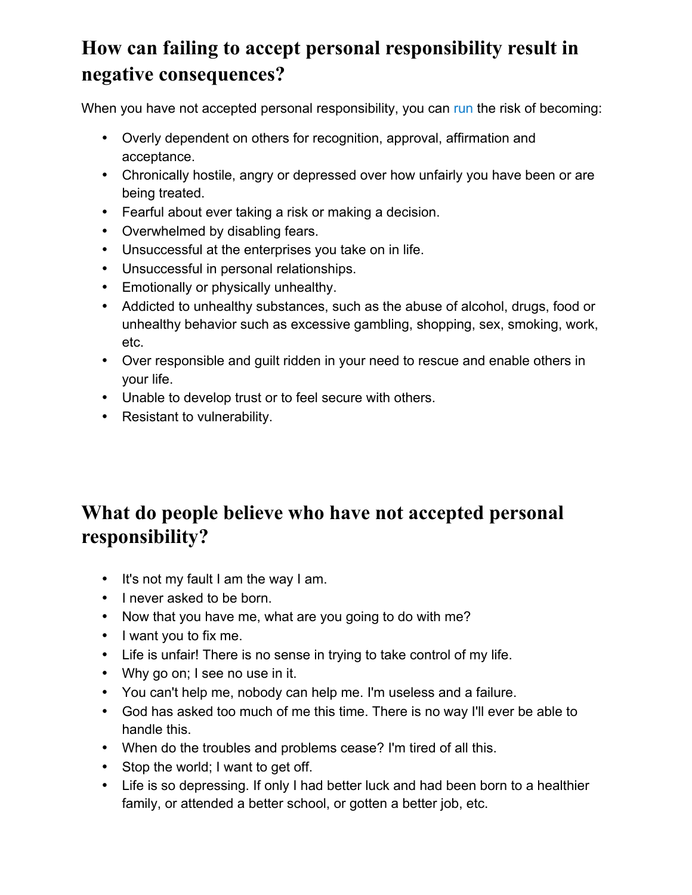# **How can failing to accept personal responsibility result in negative consequences?**

When you have not accepted personal responsibility, you can run the risk of becoming:

- Overly dependent on others for recognition, approval, affirmation and acceptance.
- Chronically hostile, angry or depressed over how unfairly you have been or are being treated.
- Fearful about ever taking a risk or making a decision.
- Overwhelmed by disabling fears.
- Unsuccessful at the enterprises you take on in life.
- Unsuccessful in personal relationships.
- Emotionally or physically unhealthy.
- Addicted to unhealthy substances, such as the abuse of alcohol, drugs, food or unhealthy behavior such as excessive gambling, shopping, sex, smoking, work, etc.
- Over responsible and guilt ridden in your need to rescue and enable others in your life.
- Unable to develop trust or to feel secure with others.
- Resistant to vulnerability.

# **What do people believe who have not accepted personal responsibility?**

- It's not my fault I am the way I am.
- I never asked to be born.
- Now that you have me, what are you going to do with me?
- I want you to fix me.
- Life is unfair! There is no sense in trying to take control of my life.
- Why go on; I see no use in it.
- You can't help me, nobody can help me. I'm useless and a failure.
- God has asked too much of me this time. There is no way I'll ever be able to handle this.
- When do the troubles and problems cease? I'm tired of all this.
- Stop the world; I want to get off.
- Life is so depressing. If only I had better luck and had been born to a healthier family, or attended a better school, or gotten a better job, etc.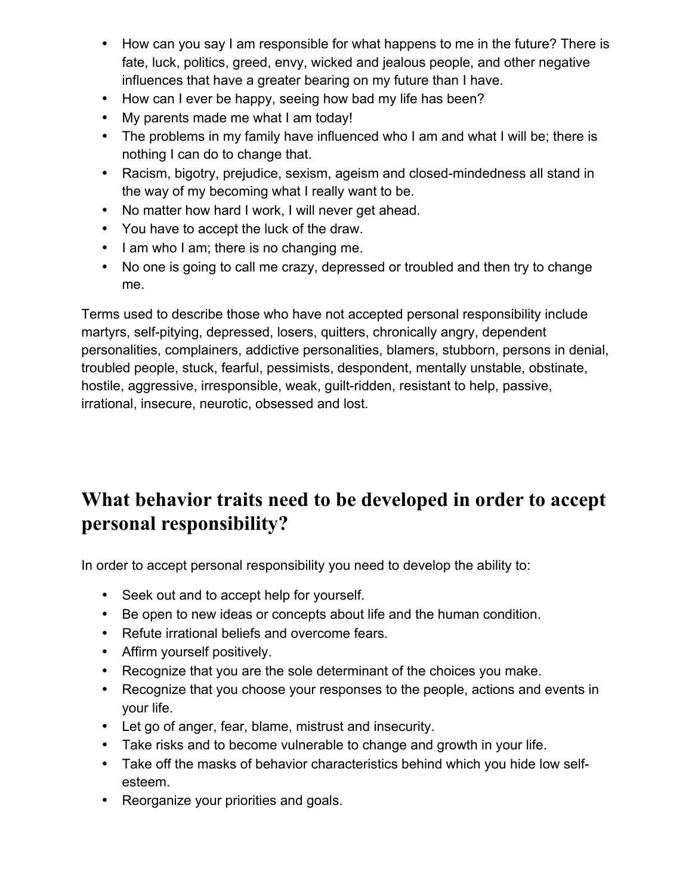- How can you say I am responsible for what happens to me in the future? There is fate, luck, politics, greed, envy, wicked and jealous people, and other negative influences that have a greater bearing on my future than I have.
- How can I ever be happy, seeing how bad my life has been?
- My parents made me what I am today!
- The problems in my family have influenced who I am and what I will be; there is nothing I can do to change that.
- Racism, bigotry, prejudice, sexism, ageism and closed-mindedness all stand in the way of my becoming what I really want to be.
- No matter how hard I work, I will never get ahead.
- You have to accept the luck of the draw.
- I am who I am; there is no changing me.
- No one is going to call me crazy, depressed or troubled and then try to change me.

Terms used to describe those who have not accepted personal responsibility include martyrs, self-pitying, depressed, losers, quitters, chronically angry, dependent personalities, complainers, addictive personalities, blamers, stubborn, persons in denial, troubled people, stuck, fearful, pessimists, despondent, mentally unstable, obstinate, hostile, aggressive, irresponsible, weak, guilt-ridden, resistant to help, passive, irrational, insecure, neurotic, obsessed and lost.

## **What behavior traits need to be developed in order to accept personal responsibility?**

In order to accept personal responsibility you need to develop the ability to:

- Seek out and to accept help for yourself.
- Be open to new ideas or concepts about life and the human condition.
- Refute irrational beliefs and overcome fears.
- Affirm yourself positively.
- Recognize that you are the sole determinant of the choices you make.
- Recognize that you choose your responses to the people, actions and events in your life.
- Let go of anger, fear, blame, mistrust and insecurity.
- Take risks and to become vulnerable to change and growth in your life.
- Take off the masks of behavior characteristics behind which you hide low selfesteem.
- Reorganize your priorities and goals.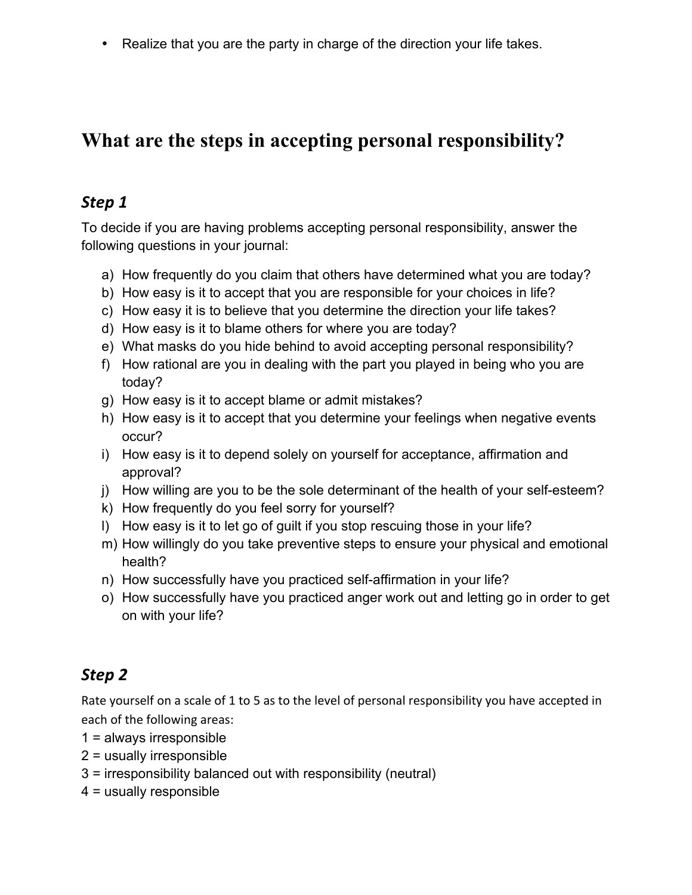• Realize that you are the party in charge of the direction your life takes.

## **What are the steps in accepting personal responsibility?**

#### *Step 1*

To decide if you are having problems accepting personal responsibility, answer the following questions in your journal:

- a) How frequently do you claim that others have determined what you are today?
- b) How easy is it to accept that you are responsible for your choices in life?
- c) How easy it is to believe that you determine the direction your life takes?
- d) How easy is it to blame others for where you are today?
- e) What masks do you hide behind to avoid accepting personal responsibility?
- f) How rational are you in dealing with the part you played in being who you are today?
- g) How easy is it to accept blame or admit mistakes?
- h) How easy is it to accept that you determine your feelings when negative events occur?
- i) How easy is it to depend solely on yourself for acceptance, affirmation and approval?
- j) How willing are you to be the sole determinant of the health of your self-esteem?
- k) How frequently do you feel sorry for yourself?
- l) How easy is it to let go of guilt if you stop rescuing those in your life?
- m) How willingly do you take preventive steps to ensure your physical and emotional health?
- n) How successfully have you practiced self-affirmation in your life?
- o) How successfully have you practiced anger work out and letting go in order to get on with your life?

### *Step 2*

Rate yourself on a scale of 1 to 5 as to the level of personal responsibility you have accepted in each of the following areas:

- 1 = always irresponsible
- 2 = usually irresponsible
- 3 = irresponsibility balanced out with responsibility (neutral)
- 4 = usually responsible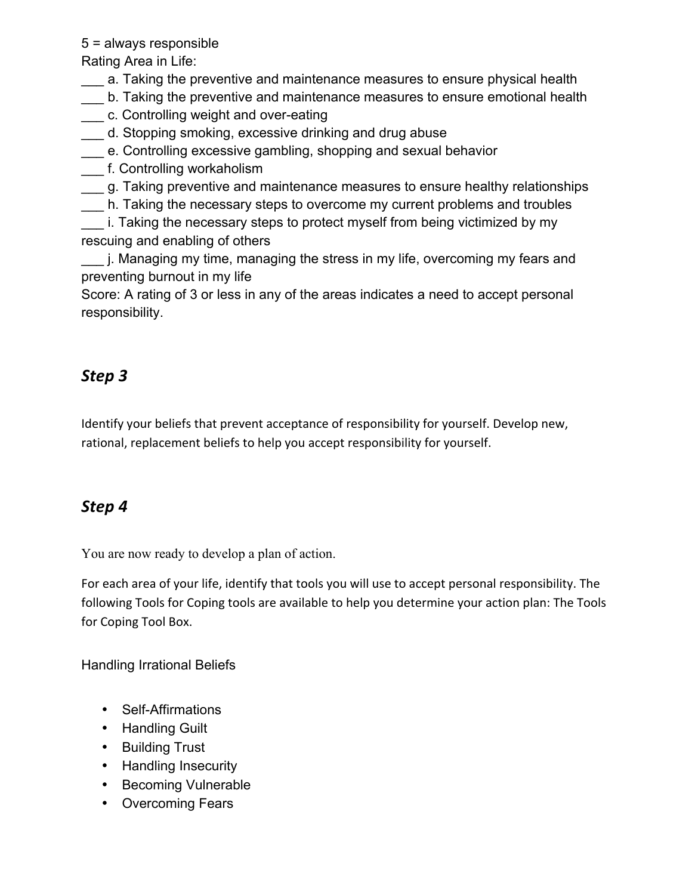5 = always responsible

Rating Area in Life:

\_\_\_ a. Taking the preventive and maintenance measures to ensure physical health

- \_\_\_ b. Taking the preventive and maintenance measures to ensure emotional health
- \_\_\_ c. Controlling weight and over-eating
- \_\_\_ d. Stopping smoking, excessive drinking and drug abuse
- \_\_\_ e. Controlling excessive gambling, shopping and sexual behavior
- \_\_\_ f. Controlling workaholism
- \_\_\_ g. Taking preventive and maintenance measures to ensure healthy relationships
- \_\_\_ h. Taking the necessary steps to overcome my current problems and troubles
- i. Taking the necessary steps to protect myself from being victimized by my rescuing and enabling of others
- \_\_\_ j. Managing my time, managing the stress in my life, overcoming my fears and preventing burnout in my life

Score: A rating of 3 or less in any of the areas indicates a need to accept personal responsibility.

### *Step 3*

Identify your beliefs that prevent acceptance of responsibility for yourself. Develop new, rational, replacement beliefs to help you accept responsibility for yourself.

### *Step 4*

You are now ready to develop a plan of action.

For each area of your life, identify that tools you will use to accept personal responsibility. The following Tools for Coping tools are available to help you determine your action plan: The Tools for Coping Tool Box.

Handling Irrational Beliefs

- Self-Affirmations
- Handling Guilt
- Building Trust
- Handling Insecurity
- Becoming Vulnerable
- Overcoming Fears